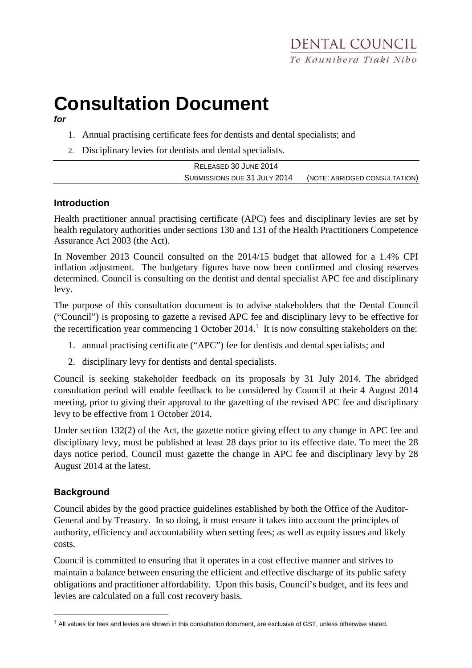# **Consultation Document**

**for**

- 1. Annual practising certificate fees for dentists and dental specialists; and
- 2. Disciplinary levies for dentists and dental specialists.

| RELEASED 30 JUNE 2014        |                               |
|------------------------------|-------------------------------|
| SUBMISSIONS DUE 31 JULY 2014 | (NOTE: ABRIDGED CONSULTATION) |

### **Introduction**

Health practitioner annual practising certificate (APC) fees and disciplinary levies are set by health regulatory authorities under sections 130 and 131 of the Health Practitioners Competence Assurance Act 2003 (the Act).

In November 2013 Council consulted on the 2014/15 budget that allowed for a 1.4% CPI inflation adjustment. The budgetary figures have now been confirmed and closing reserves determined. Council is consulting on the dentist and dental specialist APC fee and disciplinary levy.

The purpose of this consultation document is to advise stakeholders that the Dental Council ("Council") is proposing to gazette a revised APC fee and disciplinary levy to be effective for the recertification year commencing 1 October  $2014$ .<sup>1</sup> It is now consulting stakeholders on the:

- 1. annual practising certificate ("APC") fee for dentists and dental specialists; and
- 2. disciplinary levy for dentists and dental specialists.

Council is seeking stakeholder feedback on its proposals by 31 July 2014. The abridged consultation period will enable feedback to be considered by Council at their 4 August 2014 meeting, prior to giving their approval to the gazetting of the revised APC fee and disciplinary levy to be effective from 1 October 2014.

Under section 132(2) of the Act, the gazette notice giving effect to any change in APC fee and disciplinary levy, must be published at least 28 days prior to its effective date. To meet the 28 days notice period, Council must gazette the change in APC fee and disciplinary levy by 28 August 2014 at the latest.

## **Background**

 $\overline{a}$ 

Council abides by the good practice guidelines established by both the Office of the Auditor-General and by Treasury. In so doing, it must ensure it takes into account the principles of authority, efficiency and accountability when setting fees; as well as equity issues and likely costs.

Council is committed to ensuring that it operates in a cost effective manner and strives to maintain a balance between ensuring the efficient and effective discharge of its public safety obligations and practitioner affordability. Upon this basis, Council's budget, and its fees and levies are calculated on a full cost recovery basis.

 $1$  All values for fees and levies are shown in this consultation document, are exclusive of GST, unless otherwise stated.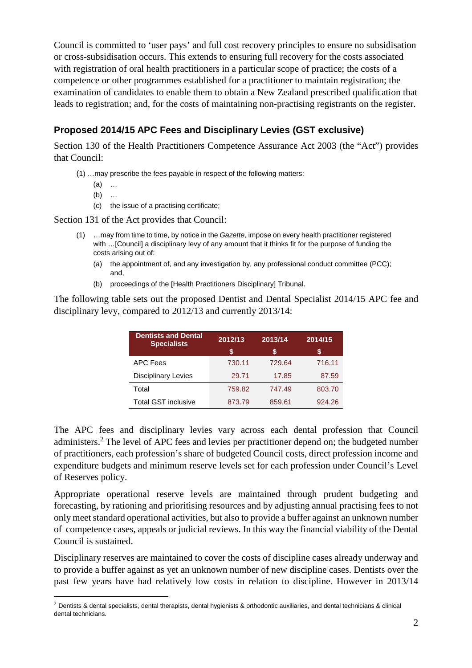Council is committed to 'user pays' and full cost recovery principles to ensure no subsidisation or cross-subsidisation occurs. This extends to ensuring full recovery for the costs associated with registration of oral health practitioners in a particular scope of practice; the costs of a competence or other programmes established for a practitioner to maintain registration; the examination of candidates to enable them to obtain a New Zealand prescribed qualification that leads to registration; and, for the costs of maintaining non-practising registrants on the register.

# **Proposed 2014/15 APC Fees and Disciplinary Levies (GST exclusive)**

Section 130 of the Health Practitioners Competence Assurance Act 2003 (the "Act") provides that Council:

(1) …may prescribe the fees payable in respect of the following matters:

- (a) …
- (b) …

 $\overline{a}$ 

(c) the issue of a practising certificate;

Section 131 of the Act provides that Council:

- (1) …may from time to time, by notice in the Gazette, impose on every health practitioner registered with …[Council] a disciplinary levy of any amount that it thinks fit for the purpose of funding the costs arising out of:
	- (a) the appointment of, and any investigation by, any professional conduct committee (PCC); and,
	- (b) proceedings of the [Health Practitioners Disciplinary] Tribunal.

The following table sets out the proposed Dentist and Dental Specialist 2014/15 APC fee and disciplinary levy, compared to 2012/13 and currently 2013/14:

| <b>Dentists and Dental</b><br><b>Specialists</b> | 2012/13 | 2013/14 | 2014/15 |
|--------------------------------------------------|---------|---------|---------|
|                                                  | S       | S       | S       |
| <b>APC Fees</b>                                  | 730.11  | 729.64  | 716.11  |
| <b>Disciplinary Levies</b>                       | 29.71   | 17.85   | 87.59   |
| Total                                            | 759.82  | 747.49  | 803.70  |
| <b>Total GST inclusive</b>                       | 873.79  | 859.61  | 924.26  |

The APC fees and disciplinary levies vary across each dental profession that Council administers.<sup>2</sup> The level of APC fees and levies per practitioner depend on; the budgeted number of practitioners, each profession's share of budgeted Council costs, direct profession income and expenditure budgets and minimum reserve levels set for each profession under Council's Level of Reserves policy.

Appropriate operational reserve levels are maintained through prudent budgeting and forecasting, by rationing and prioritising resources and by adjusting annual practising fees to not only meet standard operational activities, but also to provide a buffer against an unknown number of competence cases, appeals or judicial reviews. In this way the financial viability of the Dental Council is sustained.

Disciplinary reserves are maintained to cover the costs of discipline cases already underway and to provide a buffer against as yet an unknown number of new discipline cases. Dentists over the past few years have had relatively low costs in relation to discipline. However in 2013/14

 $<sup>2</sup>$  Dentists & dental specialists, dental therapists, dental hygienists & orthodontic auxiliaries, and dental technicians & clinical</sup> dental technicians.